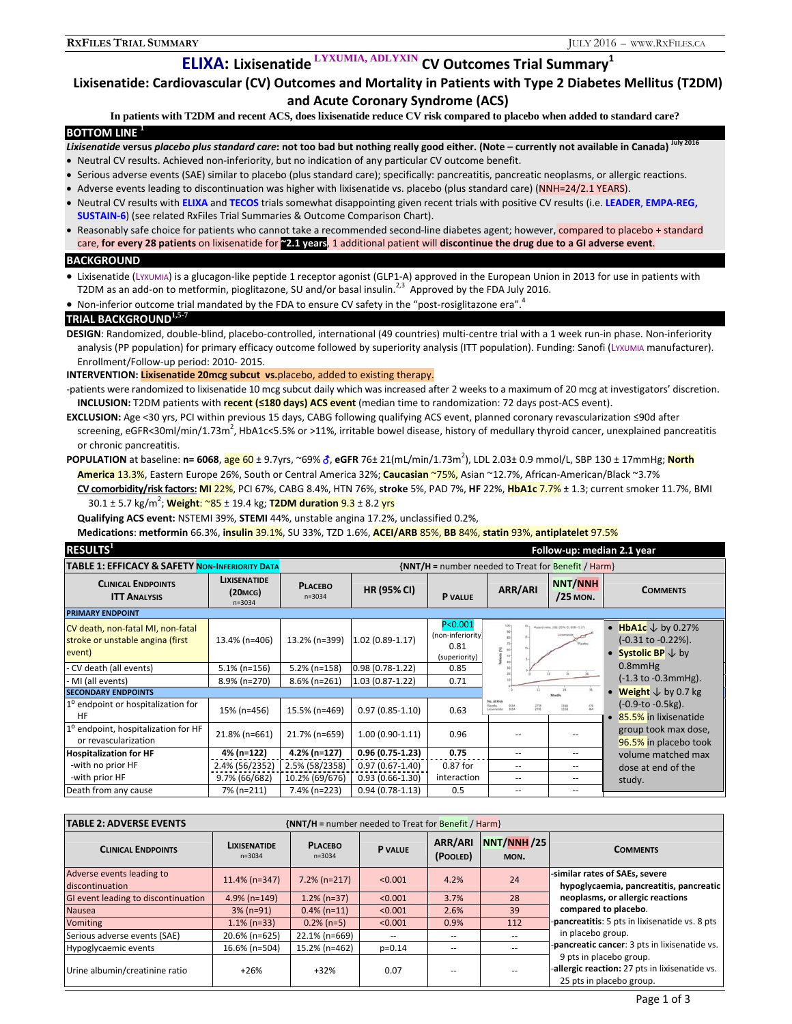# **ELIXA: Lixisenatide LYXUMIA, ADLYXIN CV Outcomes Trial Summary<sup>1</sup>**

# **Lixisenatide: Cardiovascular (CV) Outcomes and Mortality in Patients with Type 2 Diabetes Mellitus (T2DM) and Acute Coronary Syndrome (ACS)**

**In patients with T2DM and recent ACS, does lixisenatide reduce CV risk compared to placebo when added to standard care?**

#### **BOTTOM LINE <sup>1</sup>**

- Lixisenatide versus placebo plus standard care: not too bad but nothing really good either. (Note currently not available in Canada) July 2016
- Neutral CV results. Achieved non‐inferiority, but no indication of any particular CV outcome benefit.
- Serious adverse events (SAE) similar to placebo (plus standard care); specifically: pancreatitis, pancreatic neoplasms, or allergic reactions.
- Adverse events leading to discontinuation was higher with lixisenatide vs. placebo (plus standard care) (NNH=24/2.1 YEARS).
- Neutral CV results with **ELIXA** and **TECOS** trials somewhat disappointing given recent trials with positive CV results (i.e. **LEADER**, **EMPA‐REG, SUSTAIN‐6**) (see related RxFiles Trial Summaries & Outcome Comparison Chart).
- Reasonably safe choice for patients who cannot take a recommended second-line diabetes agent; however, compared to placebo + standard care, for every 28 patients on lixisenatide for 22.1 years, 1 additional patient will discontinue the drug due to a GI adverse event.

### **BACKGROUND**

- Lixisenatide (LYXUMIA) is a glucagon-like peptide 1 receptor agonist (GLP1-A) approved in the European Union in 2013 for use in patients with T2DM as an add-on to metformin, pioglitazone, SU and/or basal insulin.<sup>2,3</sup> Approved by the FDA July 2016.
- Non-inferior outcome trial mandated by the FDA to ensure CV safety in the "post-rosiglitazone era".

## **TRIAL BACKGROUND1,5-7**

**DESIGN**: Randomized, double‐blind, placebo‐controlled, international (49 countries) multi‐centre trial with a 1 week run‐in phase. Non‐inferiority analysis (PP population) for primary efficacy outcome followed by superiority analysis (ITT population). Funding: Sanofi (LYXUMIA manufacturer). Enrollment/Follow‐up period: 2010‐ 2015.

**INTERVENTION: Lixisenatide 20mcg subcut vs.**placebo, added to existing therapy.

- ‐patients were randomized to lixisenatide 10 mcg subcut daily which was increased after 2 weeks to a maximum of 20 mcg at investigators' discretion. **INCLUSION:** T2DM patients with **recent (≤180 days) ACS event** (median time to randomization: 72 days post‐ACS event).
- **EXCLUSION:** Age <30 yrs, PCI within previous 15 days, CABG following qualifying ACS event, planned coronary revascularization ≤90d after screening, eGFR<30ml/min/1.73m<sup>2</sup>, HbA1c<5.5% or >11%, irritable bowel disease, history of medullary thyroid cancer, unexplained pancreatitis or chronic pancreatitis.
- **POPULATION** at baseline: **n= 6068**, age 60 ± 9.7yrs, ~69% , **eGFR** 76± 21(mL/min/1.73m<sup>2</sup> ), LDL 2.03± 0.9 mmol/L, SBP 130 ± 17mmHg; **North America** 13.3%, Eastern Europe 26%, South or Central America 32%; **Caucasian** ~75%, Asian ~12.7%, African‐American/Black ~3.7% **CV comorbidity/risk factors: MI** 22%, PCI 67%, CABG 8.4%, HTN 76%, **stroke** 5%, PAD 7%, **HF** 22%, **HbA1c** 7.7% ± 1.3; current smoker 11.7%, BMI 30.1 ± 5.7 kg/m<sup>2</sup> ; **Weight**: ~85 ± 19.4 kg; **T2DM duration** 9.3 ± 8.2 yrs
	- **Qualifying ACS event:** NSTEMI 39%, **STEMI** 44%, unstable angina 17.2%, unclassified 0.2%,

**Medications**: **metformin** 66.3%, **insulin** 39.1%, SU 33%, TZD 1.6%, **ACEI/ARB** 85%, **BB** 84%, **statin** 93%, **antiplatelet** 97.5%

| RESULTS <sup>1</sup>                                                            |                                                          |                                                        |                     |                                                         |                                                                                           |                                       | Follow-up: median 2.1 year                                                           |
|---------------------------------------------------------------------------------|----------------------------------------------------------|--------------------------------------------------------|---------------------|---------------------------------------------------------|-------------------------------------------------------------------------------------------|---------------------------------------|--------------------------------------------------------------------------------------|
| <b>TABLE 1: EFFICACY &amp; SAFETY NON-INFERIORITY DATA</b>                      |                                                          | $\{NNT/H =$ number needed to Treat for Benefit / Harm} |                     |                                                         |                                                                                           |                                       |                                                                                      |
| <b>CLINICAL ENDPOINTS</b><br><b>ITT ANALYSIS</b>                                | <b>LIXISENATIDE</b><br>(20m <sub>G</sub> )<br>$n = 3034$ | <b>PLACEBO</b><br>$n = 3034$                           | <b>HR (95% CI)</b>  | P VALUE                                                 | ARR/ARI                                                                                   | <b>NNT/NNH</b><br>/25 MON.            | <b>COMMENTS</b>                                                                      |
| <b>PRIMARY ENDPOINT</b>                                                         |                                                          |                                                        |                     |                                                         |                                                                                           |                                       |                                                                                      |
| CV death, non-fatal MI, non-fatal<br>stroke or unstable angina (first<br>event) | 13.4% (n=406)                                            | 13.2% (n=399)                                          | $1.02(0.89-1.17)$   | P < 0.001<br>(non-inferiority)<br>0.81<br>(superiority) | $10 -$<br>44                                                                              | Hasani natu, 1:82 (W/N CL 0.89-1.17). | • HbA1c $\downarrow$ by 0.27%<br>(-0.31 to -0.22%).<br>• Systolic BP $\downarrow$ by |
| CV death (all events)                                                           | $5.1\%$ (n=156)                                          | 5.2% (n=158)                                           | $0.98(0.78-1.22)$   | 0.85                                                    |                                                                                           |                                       | $0.8$ mm $Hg$                                                                        |
| MI (all events)                                                                 | 8.9% (n=270)                                             | 8.6% (n=261)                                           | $1.03(0.87-1.22)$   | 0.71                                                    |                                                                                           |                                       | $(-1.3 \text{ to } -0.3 \text{ mmHg}).$                                              |
| <b>SECONDARY ENDPOINTS</b>                                                      |                                                          |                                                        |                     |                                                         |                                                                                           |                                       | <b>Weight</b> $\downarrow$ by 0.7 kg                                                 |
| 1 <sup>o</sup> endpoint or hospitalization for<br>HF                            | 15% (n=456)                                              | 15.5% (n=469)                                          | $0.97(0.85 - 1.10)$ | 0.63                                                    | No. at Risk<br><b>Rando</b><br><b>JOS4</b><br>$\frac{2758}{2783}$<br>\$254<br>hineratole. | 읊<br>$\frac{1368}{1168}$              | $(-0.9-to -0.5kg)$ .<br>• 85.5% in lixisenatide                                      |
| 1 <sup>o</sup> endpoint, hospitalization for HF<br>or revascularization         | 21.8% (n=661)                                            | 21.7% (n=659)                                          | $1.00(0.90-1.11)$   | 0.96                                                    |                                                                                           |                                       | group took max dose,<br>96.5% in placebo took                                        |
| <b>Hospitalization for HF</b>                                                   | 4% (n=122)                                               | 4.2% (n=127)                                           | $0.96(0.75-1.23)$   | 0.75                                                    | $- -$                                                                                     | --                                    | volume matched max                                                                   |
| -with no prior HF                                                               | 2.4% (56/2352)                                           | 2.5% (58/2358)                                         | $0.97(0.67 - 1.40)$ | 0.87 for                                                | --                                                                                        |                                       | dose at end of the                                                                   |
| -with prior HF                                                                  | 9.7% (66/682)                                            | 10.2% (69/676)                                         | $0.93(0.66-1.30)$   | interaction                                             | --                                                                                        | $- -$                                 | study.                                                                               |
| Death from any cause                                                            | 7% (n=211)                                               | 7.4% (n=223)                                           | $0.94(0.78-1.13)$   | 0.5                                                     | $- -$                                                                                     | --                                    |                                                                                      |

| <b>TABLE 2: ADVERSE EVENTS</b><br>$\{NNT/H =$ number needed to Treat for Benefit / Harm} |                                   |                              |                |                     |                    |                                                                                                       |  |
|------------------------------------------------------------------------------------------|-----------------------------------|------------------------------|----------------|---------------------|--------------------|-------------------------------------------------------------------------------------------------------|--|
| <b>CLINICAL ENDPOINTS</b>                                                                | <b>LIXISENATIDE</b><br>$n = 3034$ | <b>PLACEBO</b><br>$n = 3034$ | <b>P</b> VALUE | ARR/ARI<br>(POOLED) | NNT/NNH/25<br>MON. | <b>COMMENTS</b>                                                                                       |  |
| Adverse events leading to<br>discontinuation                                             | $11.4\%$ (n=347)                  | $7.2\%$ (n=217)              | < 0.001        | 4.2%                | 24                 | -similar rates of SAEs, severe<br>hypoglycaemia, pancreatitis, pancreatic                             |  |
| GI event leading to discontinuation                                                      | $4.9\%$ (n=149)                   | $1.2\%$ (n=37)               | < 0.001        | 3.7%                | 28                 | neoplasms, or allergic reactions                                                                      |  |
| <b>Nausea</b>                                                                            | $3\%$ (n=91)                      | $0.4\%$ (n=11)               | < 0.001        | 2.6%                | 39                 | compared to placebo.                                                                                  |  |
| <b>Vomiting</b>                                                                          | $1.1\%$ (n=33)                    | $0.2\%$ (n=5)                | < 0.001        | 0.9%                | 112                | pancreatitis: 5 pts in lixisenatide vs. 8 pts                                                         |  |
| Serious adverse events (SAE)                                                             | 20.6% (n=625)                     | 22.1% (n=669)                | $\sim$ $-$     | $-$                 |                    | in placebo group.                                                                                     |  |
| Hypoglycaemic events                                                                     | 16.6% (n=504)                     | 15.2% (n=462)                | $p=0.14$       | --                  |                    | -pancreatic cancer: 3 pts in lixisenatide vs.                                                         |  |
| Urine albumin/creatinine ratio                                                           | $+26%$                            | $+32%$                       | 0.07           |                     |                    | 9 pts in placebo group.<br>-allergic reaction: 27 pts in lixisenatide vs.<br>25 pts in placebo group. |  |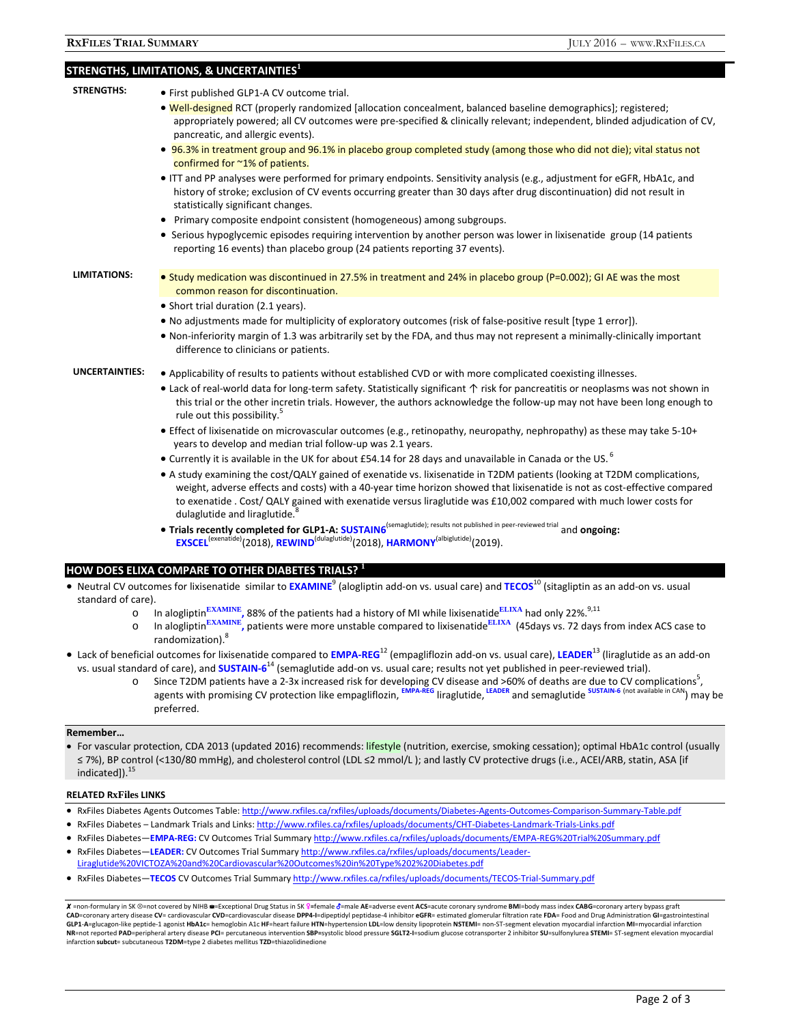| <b>STRENGTHS:</b>     | • First published GLP1-A CV outcome trial.                                                                                                                                                                                                                                                                                                                                |  |  |  |  |
|-----------------------|---------------------------------------------------------------------------------------------------------------------------------------------------------------------------------------------------------------------------------------------------------------------------------------------------------------------------------------------------------------------------|--|--|--|--|
|                       | • Well-designed RCT (properly randomized [allocation concealment, balanced baseline demographics]; registered;                                                                                                                                                                                                                                                            |  |  |  |  |
|                       | appropriately powered; all CV outcomes were pre-specified & clinically relevant; independent, blinded adjudication of CV,<br>pancreatic, and allergic events).                                                                                                                                                                                                            |  |  |  |  |
|                       | • 96.3% in treatment group and 96.1% in placebo group completed study (among those who did not die); vital status not<br>confirmed for ~1% of patients.                                                                                                                                                                                                                   |  |  |  |  |
|                       | ITT and PP analyses were performed for primary endpoints. Sensitivity analysis (e.g., adjustment for eGFR, HbA1c, and<br>history of stroke; exclusion of CV events occurring greater than 30 days after drug discontinuation) did not result in<br>statistically significant changes.                                                                                     |  |  |  |  |
|                       | Primary composite endpoint consistent (homogeneous) among subgroups.<br>٠                                                                                                                                                                                                                                                                                                 |  |  |  |  |
|                       | • Serious hypoglycemic episodes requiring intervention by another person was lower in lixisenatide group (14 patients<br>reporting 16 events) than placebo group (24 patients reporting 37 events).                                                                                                                                                                       |  |  |  |  |
| <b>LIMITATIONS:</b>   | • Study medication was discontinued in 27.5% in treatment and 24% in placebo group (P=0.002); GI AE was the most                                                                                                                                                                                                                                                          |  |  |  |  |
|                       | common reason for discontinuation.                                                                                                                                                                                                                                                                                                                                        |  |  |  |  |
|                       | • Short trial duration (2.1 years).                                                                                                                                                                                                                                                                                                                                       |  |  |  |  |
|                       | • No adjustments made for multiplicity of exploratory outcomes (risk of false-positive result [type 1 error]).                                                                                                                                                                                                                                                            |  |  |  |  |
|                       | • Non-inferiority margin of 1.3 was arbitrarily set by the FDA, and thus may not represent a minimally-clinically important<br>difference to clinicians or patients.                                                                                                                                                                                                      |  |  |  |  |
| <b>UNCERTAINTIES:</b> | • Applicability of results to patients without established CVD or with more complicated coexisting illnesses.                                                                                                                                                                                                                                                             |  |  |  |  |
|                       | • Lack of real-world data for long-term safety. Statistically significant $\uparrow$ risk for pancreatitis or neoplasms was not shown in<br>this trial or the other incretin trials. However, the authors acknowledge the follow-up may not have been long enough to<br>rule out this possibility. <sup>5</sup>                                                           |  |  |  |  |
|                       | • Effect of lixisenatide on microvascular outcomes (e.g., retinopathy, neuropathy, nephropathy) as these may take 5-10+<br>years to develop and median trial follow-up was 2.1 years.                                                                                                                                                                                     |  |  |  |  |
|                       | • Currently it is available in the UK for about £54.14 for 28 days and unavailable in Canada or the US. <sup>6</sup>                                                                                                                                                                                                                                                      |  |  |  |  |
|                       | • A study examining the cost/QALY gained of exenatide vs. lixisenatide in T2DM patients (looking at T2DM complications,<br>weight, adverse effects and costs) with a 40-year time horizon showed that lixisenatide is not as cost-effective compared<br>to exenatide . Cost/ QALY gained with exenatide versus liraglutide was £10,002 compared with much lower costs for |  |  |  |  |
|                       | dulaglutide and liraglutide. <sup>8</sup><br>(compalutido); roculte not published in noor rovioused trial                                                                                                                                                                                                                                                                 |  |  |  |  |

 **Trials recently completed for GLP1‐A: SUSTAIN6**(semaglutide); results not published in peer‐reviewed trial and **ongoing: EXSCEL**(exenatide)(2018), **REWIND**(dulaglutide)(2018), **HARMONY**(albiglutide)(2019).

# **HOW DOES ELIXA COMPARE TO OTHER DIABETES TRIALS? <sup>1</sup>**

- Neutral CV outcomes for lixisenatide similar to **EXAMINE**<sup>9</sup> (alogliptin add-on vs. usual care) and TECOS<sup>10</sup> (sitagliptin as an add-on vs. usual standard of care).
	- o In alogliptin<sup>EXAMINE</sup>, 88% of the patients had a history of MI while lixisenatide<sup>ELIXA</sup> had only 22%.<sup>9,11</sup>
	- o In alogliptin**EXAMINE,** patients were more unstable compared to lixisenatide**ELIXA** (45days vs. 72 days from index ACS case to randomization).<sup>8</sup>
- Lack of beneficial outcomes for lixisenatide compared to **EMPA‐REG**<sup>12</sup> (empagliflozin add‐on vs. usual care), **LEADER**<sup>13</sup> (liraglutide as an add‐on vs. usual standard of care), and **SUSTAIN‐6**<sup>14</sup> (semaglutide add‐on vs. usual care; results not yet published in peer‐reviewed trial).
	- o Since T2DM patients have a 2-3x increased risk for developing CV disease and >60% of deaths are due to CV complications<sup>5</sup>, agents with promising CV protection like empagliflozin, **EMPA‐REG** liraglutide, **LEADER** and semaglutide **SUSTAIN‐<sup>6</sup>** (not available in CAN) may be preferred.

# **Remember…**

• For vascular protection, CDA 2013 (updated 2016) recommends: lifestyle (nutrition, exercise, smoking cessation); optimal HbA1c control (usually ≤ 7%), BP control (<130/80 mmHg), and cholesterol control (LDL ≤2 mmol/L ); and lastly CV protective drugs (i.e., ACEI/ARB, statin, ASA [if indicated]).<sup>15</sup>

# **RELATED RxFiles LINKS**

- · RxFiles Diabetes Agents Outcomes Table: http://www.rxfiles.ca/rxfiles/uploads/documents/Diabetes-Agents-Outcomes-Comparison-Summary-Table.pdf
- RxFiles Diabetes Landmark Trials and Links: http://www.rxfiles.ca/rxfiles/uploads/documents/CHT-Diabetes-Landmark-Trials-Links.pdf
- RxFiles Diabetes—**EMPA‐REG:** CV Outcomes Trial Summary http://www.rxfiles.ca/rxfiles/uploads/documents/EMPA‐REG%20Trial%20Summary.pdf
- **●** RxFiles Diabetes—LEADER: CV Outcomes Trial Summary http://www.rxfiles.ca/rxfiles/uploads/documents/Leader-Liraglutide%20VICTOZA%20and%20Cardiovascular%20Outcomes%20in%20Type%202%20Diabetes.pdf
- RxFiles Diabetes—**TECOS** CV Outcomes Trial Summary http://www.rxfiles.ca/rxfiles/uploads/documents/TECOS‐Trial‐Summary.pdf

X =non-formulary in SK ⊗=not covered by NIHB e=Exceptional Drug Status in SK §=female  $\delta$ =male AE=adverse event ACS=acute coronary syndrome BMI=body mass index CABG=coronary artery bypass graft CAD=coronary artery disease CV= cardiovascular CVD=cardiovascular disease DPP4-l=dipeptidyl peptidase-4 inhibitor eGFR= estimated glomerular filtration rate FDA= Food and Drug Administration Gl=gastrointestinal<br>CAD=coronar GLP1-A=glucagon-like peptide-1 agonist HbA1c= hemoglobin A1c HF=heart failure HTN=hypertension LDL=low density lipoprotein NSTEMI= non-ST-segment elevation myocardial infarction MI=myocardial infarction NR=not reported PAD=peripheral artery disease PCI= percutaneous intervention SBP=systolic blood pressure SGLT2-I=sodium glucose cotransporter 2 inhibitor SU=sulfonylurea STEMI= ST-segment elevation myocardial infarction **subcut**= subcutaneous **T2DM**=type 2 diabetes mellitus **TZD**=thiazolidinedione